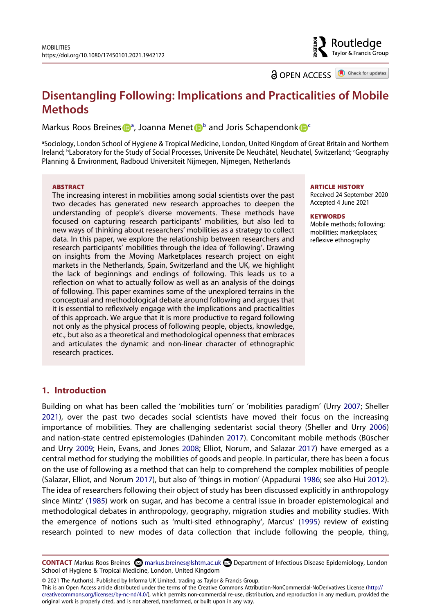Routledae Taylor & Francis Group

**a** OPEN ACCESS **a** Check for updates

# **Disentangling Following: Implications and Practicalities of Mobile Methods**

Marku[s](http://orcid.org/0000-0001-7570-9354) Roos Breines D<sup>[a](#page-0-0)</sup>, Joanna Mene[t](http://orcid.org/0000-0002-3778-3024) D<sup>[b](#page-0-1)</sup> and Joris S[c](#page-0-1)hapendonk D<sup>e</sup>

<span id="page-0-1"></span><span id="page-0-0"></span>aSociology, London School of Hygiene & Tropical Medicine, London, United Kingdom of Great Britain and Northern Ireland; <sup>b</sup>Laboratory for the Study of Social Processes, Universite De Neuchâtel, Neuchatel, Switzerland; <sup>c</sup>Geography Planning & Environment, Radboud Universiteit Nijmegen, Nijmegen, Netherlands

#### **ABSTRACT**

The increasing interest in mobilities among social scientists over the past two decades has generated new research approaches to deepen the understanding of people's diverse movements. These methods have focused on capturing research participants' mobilities, but also led to new ways of thinking about researchers' mobilities as a strategy to collect data. In this paper, we explore the relationship between researchers and research participants' mobilities through the idea of 'following'. Drawing on insights from the Moving Marketplaces research project on eight markets in the Netherlands, Spain, Switzerland and the UK, we highlight the lack of beginnings and endings of following. This leads us to a reflection on what to actually follow as well as an analysis of the doings of following. This paper examines some of the unexplored terrains in the conceptual and methodological debate around following and argues that it is essential to reflexively engage with the implications and practicalities of this approach. We argue that it is more productive to regard following not only as the physical process of following people, objects, knowledge, etc., but also as a theoretical and methodological openness that embraces and articulates the dynamic and non-linear character of ethnographic research practices.

#### **ARTICLE HISTORY**

Received 24 September 2020 Accepted 4 June 2021

#### **KEYWORDS**

Mobile methods; following; mobilities; marketplaces; reflexive ethnography

# **1. Introduction**

<span id="page-0-8"></span><span id="page-0-7"></span><span id="page-0-4"></span><span id="page-0-3"></span><span id="page-0-2"></span>Building on what has been called the 'mobilities turn' or 'mobilities paradigm' (Urry [2007;](#page-13-0) Sheller [2021\)](#page-12-0), over the past two decades social scientists have moved their focus on the increasing importance of mobilities. They are challenging sedentarist social theory (Sheller and Urry [2006\)](#page-12-1) and nation-state centred epistemologies (Dahinden [2017](#page-11-0)). Concomitant mobile methods (Büscher and Urry [2009](#page-11-1); Hein, Evans, and Jones [2008;](#page-11-2) Elliot, Norum, and Salazar [2017\)](#page-11-3) have emerged as a central method for studying the mobilities of goods and people. In particular, there has been a focus on the use of following as a method that can help to comprehend the complex mobilities of people (Salazar, Elliot, and Norum [2017\)](#page-12-2), but also of 'things in motion' (Appadurai [1986](#page-11-4); see also Hui [2012\)](#page-11-5). The idea of researchers following their object of study has been discussed explicitly in anthropology since Mintz' [\(1985\)](#page-12-3) work on sugar, and has become a central issue in broader epistemological and methodological debates in anthropology, geography, migration studies and mobility studies. With the emergence of notions such as 'multi-sited ethnography', Marcus' [\(1995\)](#page-12-4) review of existing research pointed to new modes of data collection that include following the people, thing,

<span id="page-0-6"></span><span id="page-0-5"></span>CONTACT Markus Roos Breines ∞ markus.breines@lshtm.ac.uk Department of Infectious Disease Epidemiology, London School of Hygiene & Tropical Medicine, London, United Kingdom

© 2021 The Author(s). Published by Informa UK Limited, trading as Taylor & Francis Group.

This is an Open Access article distributed under the terms of the Creative Commons Attribution-NonCommercial-NoDerivatives License (http:// creativecommons.org/licenses/by-nc-nd/4.0/), which permits non-commercial re-use, distribution, and reproduction in any medium, provided the original work is properly cited, and is not altered, transformed, or built upon in any way.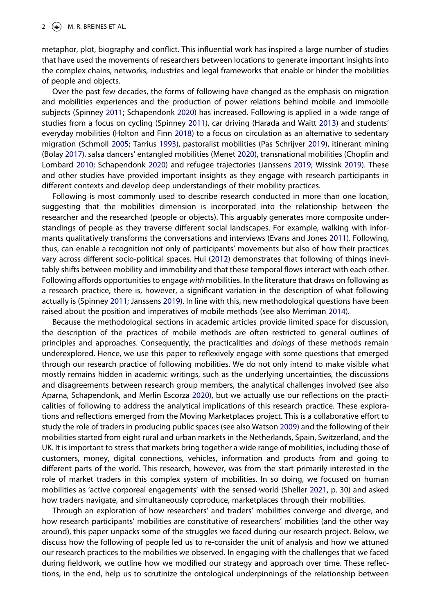metaphor, plot, biography and conflict. This influential work has inspired a large number of studies that have used the movements of researchers between locations to generate important insights into the complex chains, networks, industries and legal frameworks that enable or hinder the mobilities of people and objects.

<span id="page-1-8"></span><span id="page-1-5"></span><span id="page-1-4"></span>Over the past few decades, the forms of following have changed as the emphasis on migration and mobilities experiences and the production of power relations behind mobile and immobile subjects (Spinney [2011;](#page-12-5) Schapendonk [2020](#page-11-6)) has increased. Following is applied in a wide range of studies from a focus on cycling (Spinney [2011](#page-12-5)), car driving (Harada and Waitt [2013\)](#page-11-7) and students' everyday mobilities (Holton and Finn [2018\)](#page-11-8) to a focus on circulation as an alternative to sedentary migration (Schmoll [2005](#page-12-6); Tarrius [1993\)](#page-13-1), pastoralist mobilities (Pas Schrijver [2019](#page-12-7)), itinerant mining (Bolay [2017](#page-11-9)), salsa dancers' entangled mobilities (Menet [2020](#page-12-8)), transnational mobilities (Choplin and Lombard [2010;](#page-11-10) Schapendonk [2020\)](#page-11-6) and refugee trajectories (Janssens [2019](#page-11-11); Wissink [2019\)](#page-13-2). These and other studies have provided important insights as they engage with research participants in different contexts and develop deep understandings of their mobility practices.

<span id="page-1-3"></span><span id="page-1-2"></span><span id="page-1-1"></span>Following is most commonly used to describe research conducted in more than one location, suggesting that the mobilities dimension is incorporated into the relationship between the researcher and the researched (people or objects). This arguably generates more composite understandings of people as they traverse different social landscapes. For example, walking with informants qualitatively transforms the conversations and interviews (Evans and Jones [2011\)](#page-11-12). Following, thus, can enable a recognition not only of participants' movements but also of how their practices vary across different socio-political spaces. Hui ([2012](#page-11-5)) demonstrates that following of things inevitably shifts between mobility and immobility and that these temporal flows interact with each other. Following affords opportunities to engage *with* mobilities. In the literature that draws on following as a research practice, there is, however, a significant variation in the description of what following actually is (Spinney [2011;](#page-12-5) Janssens [2019](#page-11-11)). In line with this, new methodological questions have been raised about the position and imperatives of mobile methods (see also Merriman [2014\)](#page-12-9).

<span id="page-1-7"></span><span id="page-1-6"></span><span id="page-1-0"></span>Because the methodological sections in academic articles provide limited space for discussion, the description of the practices of mobile methods are often restricted to general outlines of principles and approaches. Consequently, the practicalities and *doings* of these methods remain underexplored. Hence, we use this paper to reflexively engage with some questions that emerged through our research practice of following mobilities. We do not only intend to make visible what mostly remains hidden in academic writings, such as the underlying uncertainties, the discussions and disagreements between research group members, the analytical challenges involved (see also Aparna, Schapendonk, and Merlin Escorza [2020\)](#page-11-13), but we actually use our reflections on the practicalities of following to address the analytical implications of this research practice. These explorations and reflections emerged from the Moving Marketplaces project. This is a collaborative effort to study the role of traders in producing public spaces (see also Watson [2009](#page-13-3)) and the following of their mobilities started from eight rural and urban markets in the Netherlands, Spain, Switzerland, and the UK. It is important to stress that markets bring together a wide range of mobilities, including those of customers, money, digital connections, vehicles, information and products from and going to different parts of the world. This research, however, was from the start primarily interested in the role of market traders in this complex system of mobilities. In so doing, we focused on human mobilities as 'active corporeal engagements' with the sensed world (Sheller [2021](#page-12-0), p. 30) and asked how traders navigate, and simultaneously coproduce, marketplaces through their mobilities.

<span id="page-1-9"></span>Through an exploration of how researchers' and traders' mobilities converge and diverge, and how research participants' mobilities are constitutive of researchers' mobilities (and the other way around), this paper unpacks some of the struggles we faced during our research project. Below, we discuss how the following of people led us to re-consider the unit of analysis and how we attuned our research practices to the mobilities we observed. In engaging with the challenges that we faced during fieldwork, we outline how we modified our strategy and approach over time. These reflections, in the end, help us to scrutinize the ontological underpinnings of the relationship between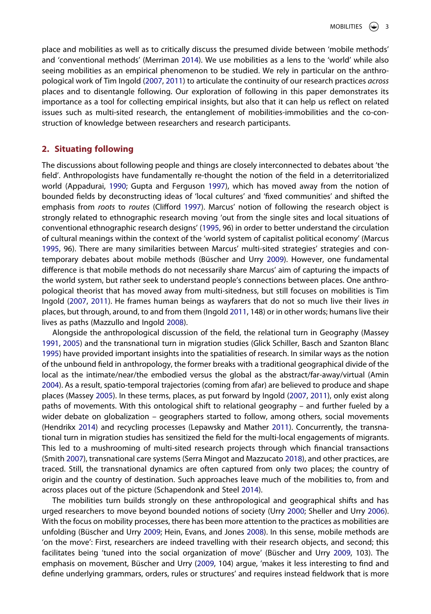place and mobilities as well as to critically discuss the presumed divide between 'mobile methods' and 'conventional methods' (Merriman [2014](#page-12-9)). We use mobilities as a lens to the 'world' while also seeing mobilities as an empirical phenomenon to be studied. We rely in particular on the anthropological work of Tim Ingold [\(2007,](#page-11-14) [2011](#page-11-15)) to articulate the continuity of our research practices *across*  places and to disentangle following. Our exploration of following in this paper demonstrates its importance as a tool for collecting empirical insights, but also that it can help us reflect on related issues such as multi-sited research, the entanglement of mobilities-immobilities and the co-construction of knowledge between researchers and research participants.

# **2. Situating following**

<span id="page-2-2"></span><span id="page-2-1"></span>The discussions about following people and things are closely interconnected to debates about 'the field'. Anthropologists have fundamentally re-thought the notion of the field in a deterritorialized world (Appadurai, [1990](#page-11-16); Gupta and Ferguson [1997\)](#page-11-17), which has moved away from the notion of bounded fields by deconstructing ideas of 'local cultures' and 'fixed communities' and shifted the emphasis from *roots* to *routes* (Clifford [1997](#page-11-18)). Marcus' notion of following the research object is strongly related to ethnographic research moving 'out from the single sites and local situations of conventional ethnographic research designs' [\(1995,](#page-12-4) 96) in order to better understand the circulation of cultural meanings within the context of the 'world system of capitalist political economy' (Marcus [1995,](#page-12-4) 96). There are many similarities between Marcus' multi-sited strategies' strategies and contemporary debates about mobile methods (Büscher and Urry [2009](#page-11-1)). However, one fundamental difference is that mobile methods do not necessarily share Marcus' aim of capturing the impacts of the world system, but rather seek to understand people's connections between places. One anthropological theorist that has moved away from multi-sitedness, but still focuses on mobilities is Tim Ingold ([2007](#page-11-14), [2011\)](#page-11-15). He frames human beings as wayfarers that do not so much live their lives *in*  places, but through, around, to and from them (Ingold [2011,](#page-11-15) 148) or in other words; humans live their lives as paths (Mazzullo and Ingold [2008](#page-12-10)).

<span id="page-2-8"></span><span id="page-2-6"></span><span id="page-2-5"></span><span id="page-2-4"></span><span id="page-2-0"></span>Alongside the anthropological discussion of the field, the relational turn in Geography (Massey [1991,](#page-12-11) [2005\)](#page-12-12) and the transnational turn in migration studies (Glick Schiller, Basch and Szanton Blanc [1995\)](#page-12-13) have provided important insights into the spatialities of research. In similar ways as the notion of the unbound field in anthropology, the former breaks with a traditional geographical divide of the local as the intimate/near/the embodied versus the global as the abstract/far-away/virtual (Amin [2004\)](#page-10-0). As a result, spatio-temporal trajectories (coming from afar) are believed to produce and shape places (Massey [2005](#page-12-12)). In these terms, places, as put forward by Ingold [\(2007,](#page-11-14) [2011\)](#page-11-15), only exist along paths of movements. With this ontological shift to relational geography – and further fueled by a wider debate on globalization – geographers started to follow, among others, social movements (Hendrikx [2014](#page-11-19)) and recycling processes (Lepawsky and Mather [2011\)](#page-11-20). Concurrently, the transnational turn in migration studies has sensitized the field for the multi-local engagements of migrants. This led to a mushrooming of multi-sited research projects through which financial transactions (Smith [2007](#page-12-14)), transnational care systems (Serra Mingot and Mazzucato [2018\)](#page-12-15), and other practices, are traced. Still, the transnational dynamics are often captured from only two places; the country of origin and the country of destination. Such approaches leave much of the mobilities to, from and across places out of the picture (Schapendonk and Steel [2014](#page-12-16)).

<span id="page-2-10"></span><span id="page-2-9"></span><span id="page-2-7"></span><span id="page-2-3"></span>The mobilities turn builds strongly on these anthropological and geographical shifts and has urged researchers to move beyond bounded notions of society (Urry [2000;](#page-13-4) Sheller and Urry [2006\)](#page-12-1). With the focus on mobility processes, there has been more attention to the practices as mobilities are unfolding (Büscher and Urry [2009;](#page-11-1) Hein, Evans, and Jones [2008](#page-11-2)). In this sense, mobile methods are 'on the move': First, researchers are indeed travelling with their research objects, and second; this facilitates being 'tuned into the social organization of move' (Büscher and Urry [2009](#page-11-1), 103). The emphasis on movement, Büscher and Urry ([2009](#page-11-1), 104) argue, 'makes it less interesting to find and define underlying grammars, orders, rules or structures' and requires instead fieldwork that is more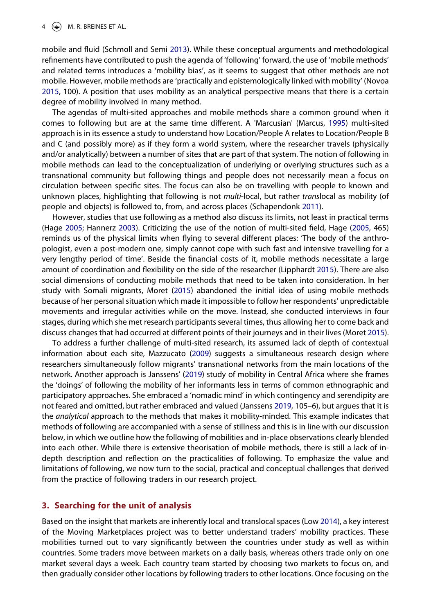<span id="page-3-7"></span><span id="page-3-5"></span>mobile and fluid (Schmoll and Semi [2013](#page-12-17)). While these conceptual arguments and methodological refinements have contributed to push the agenda of 'following' forward, the use of 'mobile methods' and related terms introduces a 'mobility bias', as it seems to suggest that other methods are not mobile. However, mobile methods are 'practically and epistemologically linked with mobility' (Novoa [2015,](#page-12-18) 100). A position that uses mobility as an analytical perspective means that there is a certain degree of mobility involved in many method.

The agendas of multi-sited approaches and mobile methods share a common ground when it comes to following but are at the same time different. A 'Marcusian' (Marcus, [1995\)](#page-12-4) multi-sited approach is in its essence a study to understand how Location/People A relates to Location/People B and C (and possibly more) as if they form a world system, where the researcher travels (physically and/or analytically) between a number of sites that are part of that system. The notion of following in mobile methods can lead to the conceptualization of underlying or overlying structures such as a transnational community but following things and people does not necessarily mean a focus on circulation between specific sites. The focus can also be on travelling with people to known and unknown places, highlighting that following is not *multi*-local, but rather *trans*local as mobility (of people and objects) is followed to, from, and across places (Schapendonk [2011](#page-12-19)).

<span id="page-3-6"></span><span id="page-3-1"></span><span id="page-3-0"></span>However, studies that use following as a method also discuss its limits, not least in practical terms (Hage [2005](#page-11-21); Hannerz [2003](#page-11-22)). Criticizing the use of the notion of multi-sited field, Hage [\(2005,](#page-11-21) 465) reminds us of the physical limits when flying to several different places: 'The body of the anthropologist, even a post-modern one, simply cannot cope with such fast and intensive travelling for a very lengthy period of time'. Beside the financial costs of it, mobile methods necessitate a large amount of coordination and flexibility on the side of the researcher (Lipphardt [2015](#page-12-20)). There are also social dimensions of conducting mobile methods that need to be taken into consideration. In her study with Somali migrants, Moret [\(2015\)](#page-12-21) abandoned the initial idea of using mobile methods because of her personal situation which made it impossible to follow her respondents' unpredictable movements and irregular activities while on the move. Instead, she conducted interviews in four stages, during which she met research participants several times, thus allowing her to come back and discuss changes that had occurred at different points of their journeys and in their lives (Moret [2015\)](#page-12-21).

<span id="page-3-4"></span><span id="page-3-3"></span>To address a further challenge of multi-sited research, its assumed lack of depth of contextual information about each site, Mazzucato ([2009](#page-12-22)) suggests a simultaneous research design where researchers simultaneously follow migrants' transnational networks from the main locations of the network. Another approach is Janssens' ([2019](#page-11-11)) study of mobility in Central Africa where she frames the 'doings' of following the mobility of her informants less in terms of common ethnographic and participatory approaches. She embraced a 'nomadic mind' in which contingency and serendipity are not feared and omitted, but rather embraced and valued (Janssens [2019,](#page-11-11) 105–6), but argues that it is the *analytical* approach to the methods that makes it mobility-minded. This example indicates that methods of following are accompanied with a sense of stillness and this is in line with our discussion below, in which we outline how the following of mobilities and in-place observations clearly blended into each other. While there is extensive theorisation of mobile methods, there is still a lack of indepth description and reflection on the practicalities of following. To emphasize the value and limitations of following, we now turn to the social, practical and conceptual challenges that derived from the practice of following traders in our research project.

# **3. Searching for the unit of analysis**

<span id="page-3-2"></span>Based on the insight that markets are inherently local and translocal spaces (Low [2014](#page-12-23)), a key interest of the Moving Marketplaces project was to better understand traders' mobility practices. These mobilities turned out to vary significantly between the countries under study as well as within countries. Some traders move between markets on a daily basis, whereas others trade only on one market several days a week. Each country team started by choosing two markets to focus on, and then gradually consider other locations by following traders to other locations. Once focusing on the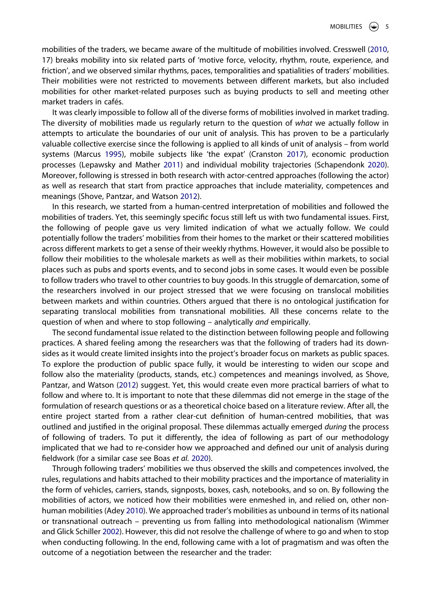<span id="page-4-3"></span>mobilities of the traders, we became aware of the multitude of mobilities involved. Cresswell ([2010](#page-11-23), 17) breaks mobility into six related parts of 'motive force, velocity, rhythm, route, experience, and friction', and we observed similar rhythms, paces, temporalities and spatialities of traders' mobilities. Their mobilities were not restricted to movements between different markets, but also included mobilities for other market-related purposes such as buying products to sell and meeting other market traders in cafés.

<span id="page-4-2"></span>It was clearly impossible to follow all of the diverse forms of mobilities involved in market trading. The diversity of mobilities made us regularly return to the question of *what* we actually follow in attempts to articulate the boundaries of our unit of analysis. This has proven to be a particularly valuable collective exercise since the following is applied to all kinds of unit of analysis – from world systems (Marcus [1995\)](#page-12-4), mobile subjects like 'the expat' (Cranston [2017\)](#page-11-24), economic production processes (Lepawsky and Mather [2011\)](#page-11-20) and individual mobility trajectories (Schapendonk [2020\)](#page-11-6). Moreover, following is stressed in both research with actor-centred approaches (following the actor) as well as research that start from practice approaches that include materiality, competences and meanings (Shove, Pantzar, and Watson [2012](#page-12-24)).

In this research, we started from a human-centred interpretation of mobilities and followed the mobilities of traders. Yet, this seemingly specific focus still left us with two fundamental issues. First, the following of people gave us very limited indication of what we actually follow. We could potentially follow the traders' mobilities from their homes to the market or their scattered mobilities across different markets to get a sense of their weekly rhythms. However, it would also be possible to follow their mobilities to the wholesale markets as well as their mobilities within markets, to social places such as pubs and sports events, and to second jobs in some cases. It would even be possible to follow traders who travel to other countries to buy goods. In this struggle of demarcation, some of the researchers involved in our project stressed that we were focusing on translocal mobilities between markets and within countries. Others argued that there is no ontological justification for separating translocal mobilities from transnational mobilities. All these concerns relate to the question of when and where to stop following – analytically *and* empirically.

<span id="page-4-4"></span>The second fundamental issue related to the distinction between following people and following practices. A shared feeling among the researchers was that the following of traders had its downsides as it would create limited insights into the project's broader focus on markets as public spaces. To explore the production of public space fully, it would be interesting to widen our scope and follow also the materiality (products, stands, etc.) competences and meanings involved, as Shove, Pantzar, and Watson [\(2012\)](#page-12-24) suggest. Yet, this would create even more practical barriers of what to follow and where to. It is important to note that these dilemmas did not emerge in the stage of the formulation of research questions or as a theoretical choice based on a literature review. After all, the entire project started from a rather clear-cut definition of human-centred mobilities, that was outlined and justified in the original proposal. These dilemmas actually emerged *during* the process of following of traders. To put it differently, the idea of following as part of our methodology implicated that we had to re-consider how we approached and defined our unit of analysis during fieldwork (for a similar case see Boas *et al.* [2020\)](#page-11-25).

<span id="page-4-5"></span><span id="page-4-1"></span><span id="page-4-0"></span>Through following traders' mobilities we thus observed the skills and competences involved, the rules, regulations and habits attached to their mobility practices and the importance of materiality in the form of vehicles, carriers, stands, signposts, boxes, cash, notebooks, and so on. By following the mobilities of actors, we noticed how their mobilities were enmeshed in, and relied on, other nonhuman mobilities (Adey [2010\)](#page-10-1). We approached trader's mobilities as unbound in terms of its national or transnational outreach – preventing us from falling into methodological nationalism (Wimmer and Glick Schiller [2002\)](#page-13-5). However, this did not resolve the challenge of where to go and when to stop when conducting following. In the end, following came with a lot of pragmatism and was often the outcome of a negotiation between the researcher and the trader: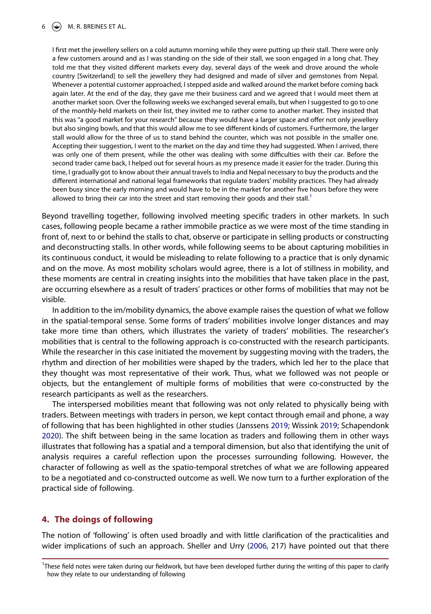I first met the jewellery sellers on a cold autumn morning while they were putting up their stall. There were only a few customers around and as I was standing on the side of their stall, we soon engaged in a long chat. They told me that they visited different markets every day, several days of the week and drove around the whole country [Switzerland] to sell the jewellery they had designed and made of silver and gemstones from Nepal. Whenever a potential customer approached, I stepped aside and walked around the market before coming back again later. At the end of the day, they gave me their business card and we agreed that I would meet them at another market soon. Over the following weeks we exchanged several emails, but when I suggested to go to one of the monthly-held markets on their list, they invited me to rather come to another market. They insisted that this was "a good market for your research" because they would have a larger space and offer not only jewellery but also singing bowls, and that this would allow me to see different kinds of customers. Furthermore, the larger stall would allow for the three of us to stand behind the counter, which was not possible in the smaller one. Accepting their suggestion, I went to the market on the day and time they had suggested. When I arrived, there was only one of them present, while the other was dealing with some difficulties with their car. Before the second trader came back, I helped out for several hours as my presence made it easier for the trader. During this time, I gradually got to know about their annual travels to India and Nepal necessary to buy the products and the different international and national legal frameworks that regulate traders' mobility practices. They had already been busy since the early morning and would have to be in the market for another five hours before they were allowed to bring their car into the street and start removing their goods and their stall.<sup>1</sup>

Beyond travelling together, following involved meeting specific traders in other markets. In such cases, following people became a rather immobile practice as we were most of the time standing in front of, next to or behind the stalls to chat, observe or participate in selling products or constructing and deconstructing stalls. In other words, while following seems to be about capturing mobilities in its continuous conduct, it would be misleading to relate following to a practice that is only dynamic and on the move. As most mobility scholars would agree, there is a lot of stillness in mobility, and these moments are central in creating insights into the mobilities that have taken place in the past, are occurring elsewhere as a result of traders' practices or other forms of mobilities that may not be visible.

In addition to the im/mobility dynamics, the above example raises the question of what we follow in the spatial-temporal sense. Some forms of traders' mobilities involve longer distances and may take more time than others, which illustrates the variety of traders' mobilities. The researcher's mobilities that is central to the following approach is co-constructed with the research participants. While the researcher in this case initiated the movement by suggesting moving with the traders, the rhythm and direction of her mobilities were shaped by the traders, which led her to the place that they thought was most representative of their work. Thus, what we followed was not people or objects, but the entanglement of multiple forms of mobilities that were co-constructed by the research participants as well as the researchers.

The interspersed mobilities meant that following was not only related to physically being with traders. Between meetings with traders in person, we kept contact through email and phone, a way of following that has been highlighted in other studies (Janssens [2019;](#page-11-11) Wissink [2019](#page-13-2); Schapendonk [2020\)](#page-11-6). The shift between being in the same location as traders and following them in other ways illustrates that following has a spatial and a temporal dimension, but also that identifying the unit of analysis requires a careful reflection upon the processes surrounding following. However, the character of following as well as the spatio-temporal stretches of what we are following appeared to be a negotiated and co-constructed outcome as well. We now turn to a further exploration of the practical side of following.

# **4. The doings of following**

The notion of 'following' is often used broadly and with little clarification of the practicalities and wider implications of such an approach. Sheller and Urry ([2006](#page-12-1), 217) have pointed out that there

<span id="page-5-0"></span><sup>1</sup> These field notes were taken during our fieldwork, but have been developed further during the writing of this paper to clarify how they relate to our understanding of following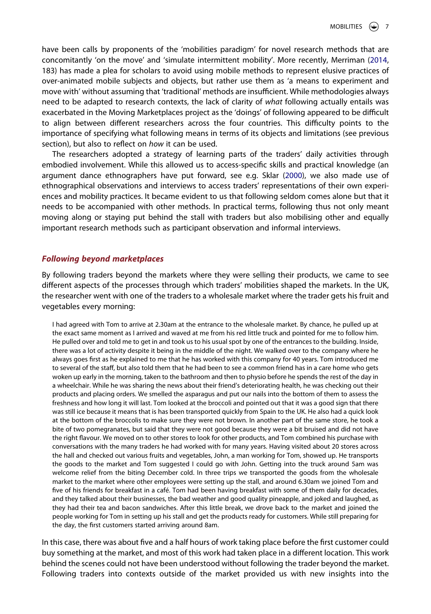have been calls by proponents of the 'mobilities paradigm' for novel research methods that are concomitantly 'on the move' and 'simulate intermittent mobility'. More recently, Merriman ([2014](#page-12-9), 183) has made a plea for scholars to avoid using mobile methods to represent elusive practices of over-animated mobile subjects and objects, but rather use them as 'a means to experiment and move with' without assuming that 'traditional' methods are insufficient. While methodologies always need to be adapted to research contexts, the lack of clarity of *what* following actually entails was exacerbated in the Moving Marketplaces project as the 'doings' of following appeared to be difficult to align between different researchers across the four countries. This difficulty points to the importance of specifying what following means in terms of its objects and limitations (see previous section), but also to reflect on *how* it can be used.

<span id="page-6-0"></span>The researchers adopted a strategy of learning parts of the traders' daily activities through embodied involvement. While this allowed us to access-specific skills and practical knowledge (an argument dance ethnographers have put forward, see e.g. Sklar [\(2000\)](#page-12-25), we also made use of ethnographical observations and interviews to access traders' representations of their own experiences and mobility practices. It became evident to us that following seldom comes alone but that it needs to be accompanied with other methods. In practical terms, following thus not only meant moving along or staying put behind the stall with traders but also mobilising other and equally important research methods such as participant observation and informal interviews.

## *Following beyond marketplaces*

By following traders beyond the markets where they were selling their products, we came to see different aspects of the processes through which traders' mobilities shaped the markets. In the UK, the researcher went with one of the traders to a wholesale market where the trader gets his fruit and vegetables every morning:

I had agreed with Tom to arrive at 2.30am at the entrance to the wholesale market. By chance, he pulled up at the exact same moment as I arrived and waved at me from his red little truck and pointed for me to follow him. He pulled over and told me to get in and took us to his usual spot by one of the entrances to the building. Inside, there was a lot of activity despite it being in the middle of the night. We walked over to the company where he always goes first as he explained to me that he has worked with this company for 40 years. Tom introduced me to several of the staff, but also told them that he had been to see a common friend has in a care home who gets woken up early in the morning, taken to the bathroom and then to physio before he spends the rest of the day in a wheelchair. While he was sharing the news about their friend's deteriorating health, he was checking out their products and placing orders. We smelled the asparagus and put our nails into the bottom of them to assess the freshness and how long it will last. Tom looked at the broccoli and pointed out that it was a good sign that there was still ice because it means that is has been transported quickly from Spain to the UK. He also had a quick look at the bottom of the broccolis to make sure they were not brown. In another part of the same store, he took a bite of two pomegranates, but said that they were not good because they were a bit bruised and did not have the right flavour. We moved on to other stores to look for other products, and Tom combined his purchase with conversations with the many traders he had worked with for many years. Having visited about 20 stores across the hall and checked out various fruits and vegetables, John, a man working for Tom, showed up. He transports the goods to the market and Tom suggested I could go with John. Getting into the truck around 5am was welcome relief from the biting December cold. In three trips we transported the goods from the wholesale market to the market where other employees were setting up the stall, and around 6.30am we joined Tom and five of his friends for breakfast in a café. Tom had been having breakfast with some of them daily for decades, and they talked about their businesses, the bad weather and good quality pineapple, and joked and laughed, as they had their tea and bacon sandwiches. After this little break, we drove back to the market and joined the people working for Tom in setting up his stall and get the products ready for customers. While still preparing for the day, the first customers started arriving around 8am.

In this case, there was about five and a half hours of work taking place before the first customer could buy something at the market, and most of this work had taken place in a different location. This work behind the scenes could not have been understood without following the trader beyond the market. Following traders into contexts outside of the market provided us with new insights into the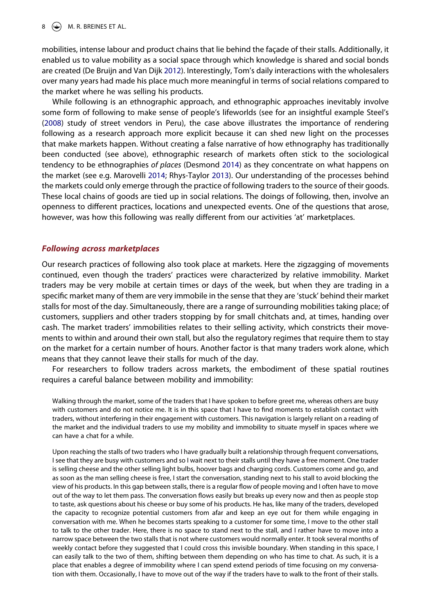### $\circ$  M. R. BREINES ET AL.

<span id="page-7-2"></span>mobilities, intense labour and product chains that lie behind the façade of their stalls. Additionally, it enabled us to value mobility as a social space through which knowledge is shared and social bonds are created (De Bruijn and Van Dijk [2012](#page-12-26)). Interestingly, Tom's daily interactions with the wholesalers over many years had made his place much more meaningful in terms of social relations compared to the market where he was selling his products.

<span id="page-7-3"></span><span id="page-7-1"></span><span id="page-7-0"></span>While following is an ethnographic approach, and ethnographic approaches inevitably involve some form of following to make sense of people's lifeworlds (see for an insightful example Steel's ([2008](#page-13-6)) study of street vendors in Peru), the case above illustrates the importance of rendering following as a research approach more explicit because it can shed new light on the processes that make markets happen. Without creating a false narrative of how ethnography has traditionally been conducted (see above), ethnographic research of markets often stick to the sociological tendency to be ethnographies *of places* (Desmond [2014\)](#page-11-26) as they concentrate on what happens on the market (see e.g. Marovelli [2014](#page-12-27); Rhys-Taylor [2013](#page-12-28)). Our understanding of the processes behind the markets could only emerge through the practice of following traders to the source of their goods. These local chains of goods are tied up in social relations. The doings of following, then, involve an openness to different practices, locations and unexpected events. One of the questions that arose, however, was how this following was really different from our activities 'at' marketplaces.

#### *Following across marketplaces*

Our research practices of following also took place at markets. Here the zigzagging of movements continued, even though the traders' practices were characterized by relative immobility. Market traders may be very mobile at certain times or days of the week, but when they are trading in a specific market many of them are very immobile in the sense that they are 'stuck' behind their market stalls for most of the day. Simultaneously, there are a range of surrounding mobilities taking place; of customers, suppliers and other traders stopping by for small chitchats and, at times, handing over cash. The market traders' immobilities relates to their selling activity, which constricts their movements to within and around their own stall, but also the regulatory regimes that require them to stay on the market for a certain number of hours. Another factor is that many traders work alone, which means that they cannot leave their stalls for much of the day.

For researchers to follow traders across markets, the embodiment of these spatial routines requires a careful balance between mobility and immobility:

Walking through the market, some of the traders that I have spoken to before greet me, whereas others are busy with customers and do not notice me. It is in this space that I have to find moments to establish contact with traders, without interfering in their engagement with customers. This navigation is largely reliant on a reading of the market and the individual traders to use my mobility and immobility to situate myself in spaces where we can have a chat for a while.

Upon reaching the stalls of two traders who I have gradually built a relationship through frequent conversations, I see that they are busy with customers and so I wait next to their stalls until they have a free moment. One trader is selling cheese and the other selling light bulbs, hoover bags and charging cords. Customers come and go, and as soon as the man selling cheese is free, I start the conversation, standing next to his stall to avoid blocking the view of his products. In this gap between stalls, there is a regular flow of people moving and I often have to move out of the way to let them pass. The conversation flows easily but breaks up every now and then as people stop to taste, ask questions about his cheese or buy some of his products. He has, like many of the traders, developed the capacity to recognize potential customers from afar and keep an eye out for them while engaging in conversation with me. When he becomes starts speaking to a customer for some time, I move to the other stall to talk to the other trader. Here, there is no space to stand next to the stall, and I rather have to move into a narrow space between the two stalls that is not where customers would normally enter. It took several months of weekly contact before they suggested that I could cross this invisible boundary. When standing in this space, I can easily talk to the two of them, shifting between them depending on who has time to chat. As such, it is a place that enables a degree of immobility where I can spend extend periods of time focusing on my conversation with them. Occasionally, I have to move out of the way if the traders have to walk to the front of their stalls.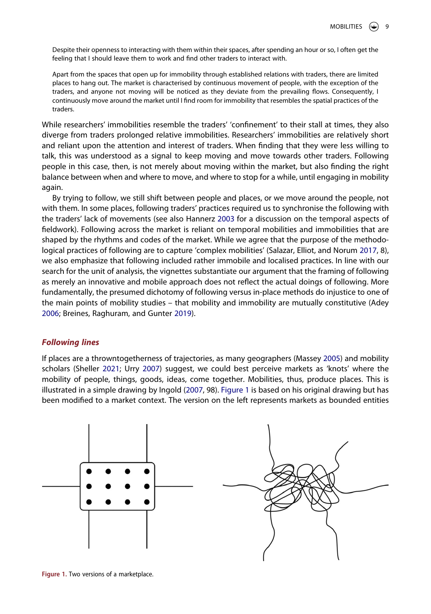Despite their openness to interacting with them within their spaces, after spending an hour or so, I often get the feeling that I should leave them to work and find other traders to interact with.

Apart from the spaces that open up for immobility through established relations with traders, there are limited places to hang out. The market is characterised by continuous movement of people, with the exception of the traders, and anyone not moving will be noticed as they deviate from the prevailing flows. Consequently, I continuously move around the market until I find room for immobility that resembles the spatial practices of the traders.

While researchers' immobilities resemble the traders' 'confinement' to their stall at times, they also diverge from traders prolonged relative immobilities. Researchers' immobilities are relatively short and reliant upon the attention and interest of traders. When finding that they were less willing to talk, this was understood as a signal to keep moving and move towards other traders. Following people in this case, then, is not merely about moving within the market, but also finding the right balance between when and where to move, and where to stop for a while, until engaging in mobility again.

By trying to follow, we still shift between people and places, or we move around the people, not with them. In some places, following traders' practices required us to synchronise the following with the traders' lack of movements (see also Hannerz [2003](#page-11-22) for a discussion on the temporal aspects of fieldwork). Following across the market is reliant on temporal mobilities and immobilities that are shaped by the rhythms and codes of the market. While we agree that the purpose of the methodological practices of following are to capture 'complex mobilities' (Salazar, Elliot, and Norum [2017](#page-12-2), 8), we also emphasize that following included rather immobile and localised practices. In line with our search for the unit of analysis, the vignettes substantiate our argument that the framing of following as merely an innovative and mobile approach does not reflect the actual doings of following. More fundamentally, the presumed dichotomy of following versus in-place methods do injustice to one of the main points of mobility studies – that mobility and immobility are mutually constitutive (Adey [2006;](#page-10-2) Breines, Raghuram, and Gunter [2019](#page-11-27)).

## <span id="page-8-2"></span><span id="page-8-1"></span>*Following lines*

If places are a throwntogetherness of trajectories, as many geographers (Massey [2005\)](#page-12-12) and mobility scholars (Sheller [2021;](#page-12-0) Urry [2007\)](#page-13-0) suggest, we could best perceive markets as 'knots' where the mobility of people, things, goods, ideas, come together. Mobilities, thus, produce places. This is illustrated in a simple drawing by Ingold ([2007](#page-11-14), 98). [Figure 1](#page-8-0) is based on his original drawing but has been modified to a market context. The version on the left represents markets as bounded entities

<span id="page-8-0"></span>

**Figure 1.** Two versions of a marketplace.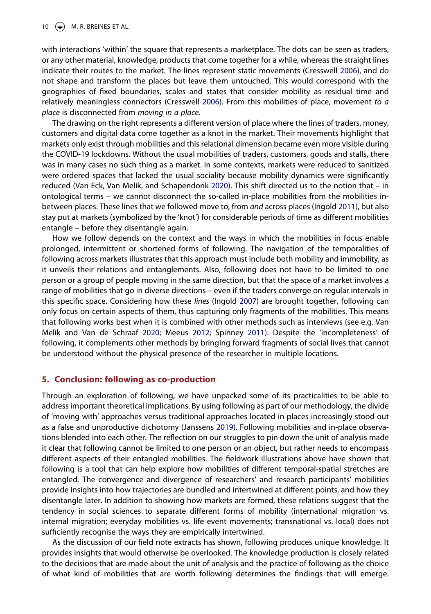with interactions 'within' the square that represents a marketplace. The dots can be seen as traders, or any other material, knowledge, products that come together for a while, whereas the straight lines indicate their routes to the market. The lines represent static movements (Cresswell [2006\)](#page-11-28), and do not shape and transform the places but leave them untouched. This would correspond with the geographies of fixed boundaries, scales and states that consider mobility as residual time and relatively meaningless connectors (Cresswell [2006](#page-11-28)). From this mobilities of place, movement *to a place* is disconnected from *moving in a place*.

<span id="page-9-0"></span>The drawing on the right represents a different version of place where the lines of traders, money, customers and digital data come together as a knot in the market. Their movements highlight that markets only exist through mobilities and this relational dimension became even more visible during the COVID-19 lockdowns. Without the usual mobilities of traders, customers, goods and stalls, there was in many cases no such thing as a market. In some contexts, markets were reduced to sanitized were ordered spaces that lacked the usual sociality because mobility dynamics were significantly reduced (Van Eck, Van Melik, and Schapendonk [2020](#page-11-6)). This shift directed us to the notion that – in ontological terms – we cannot disconnect the so-called in-place mobilities from the mobilities inbetween places. These lines that we followed move to, from *and* across places (Ingold [2011\)](#page-11-15), but also stay put at markets (symbolized by the 'knot') for considerable periods of time as different mobilities entangle – before they disentangle again.

How we follow depends on the context and the ways in which the mobilities in focus enable prolonged, intermittent or shortened forms of following. The navigation of the temporalities of following across markets illustrates that this approach must include both mobility and immobility, as it unveils their relations and entanglements. Also, following does not have to be limited to one person or a group of people moving in the same direction, but that the space of a market involves a range of mobilities that go in diverse directions – even if the traders converge on regular intervals in this specific space. Considering how these *lines* (Ingold [2007\)](#page-11-14) are brought together, following can only focus on certain aspects of them, thus capturing only fragments of the mobilities. This means that following works best when it is combined with other methods such as interviews (see e.g. Van Melik and Van de Schraaf [2020;](#page-12-29) Meeus [2012;](#page-12-30) Spinney [2011](#page-12-5)). Despite the 'incompleteness' of following, it complements other methods by bringing forward fragments of social lives that cannot be understood without the physical presence of the researcher in multiple locations.

#### <span id="page-9-1"></span>**5. Conclusion: following as co-production**

Through an exploration of following, we have unpacked some of its practicalities to be able to address important theoretical implications. By using following as part of our methodology, the divide of 'moving with' approaches versus traditional approaches located in places increasingly stood out as a false and unproductive dichotomy (Janssens [2019](#page-11-11)). Following mobilities and in-place observations blended into each other. The reflection on our struggles to pin down the unit of analysis made it clear that following cannot be limited to one person or an object, but rather needs to encompass different aspects of their entangled mobilities. The fieldwork illustrations above have shown that following is a tool that can help explore how mobilities of different temporal-spatial stretches are entangled. The convergence and divergence of researchers' and research participants' mobilities provide insights into how trajectories are bundled and intertwined at different points, and how they disentangle later. In addition to showing how markets are formed, these relations suggest that the tendency in social sciences to separate different forms of mobility (international migration vs. internal migration; everyday mobilities vs. life event movements; transnational vs. local) does not sufficiently recognise the ways they are empirically intertwined.

As the discussion of our field note extracts has shown, following produces unique knowledge. It provides insights that would otherwise be overlooked. The knowledge production is closely related to the decisions that are made about the unit of analysis and the practice of following as the choice of what kind of mobilities that are worth following determines the findings that will emerge.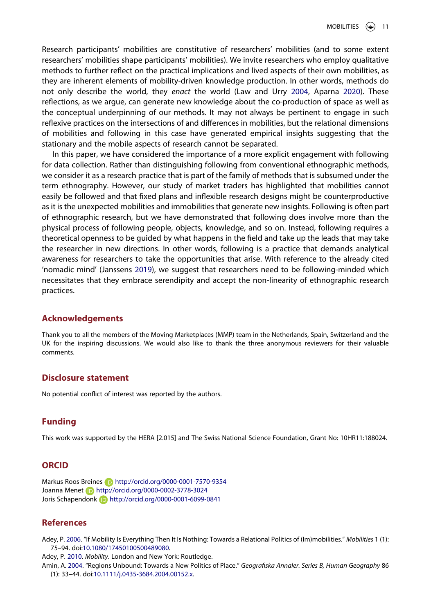<span id="page-10-3"></span>Research participants' mobilities are constitutive of researchers' mobilities (and to some extent researchers' mobilities shape participants' mobilities). We invite researchers who employ qualitative methods to further reflect on the practical implications and lived aspects of their own mobilities, as they are inherent elements of mobility-driven knowledge production. In other words, methods do not only describe the world, they *enact* the world (Law and Urry [2004,](#page-11-29) Aparna [2020\)](#page-11-13). These reflections, as we argue, can generate new knowledge about the co-production of space as well as the conceptual underpinning of our methods. It may not always be pertinent to engage in such reflexive practices on the intersections of and differences in mobilities, but the relational dimensions of mobilities and following in this case have generated empirical insights suggesting that the stationary and the mobile aspects of research cannot be separated.

In this paper, we have considered the importance of a more explicit engagement with following for data collection. Rather than distinguishing following from conventional ethnographic methods, we consider it as a research practice that is part of the family of methods that is subsumed under the term ethnography. However, our study of market traders has highlighted that mobilities cannot easily be followed and that fixed plans and inflexible research designs might be counterproductive as it is the unexpected mobilities and immobilities that generate new insights. Following is often part of ethnographic research, but we have demonstrated that following does involve more than the physical process of following people, objects, knowledge, and so on. Instead, following requires a theoretical openness to be guided by what happens in the field and take up the leads that may take the researcher in new directions. In other words, following is a practice that demands analytical awareness for researchers to take the opportunities that arise. With reference to the already cited 'nomadic mind' (Janssens [2019\)](#page-11-11), we suggest that researchers need to be following-minded which necessitates that they embrace serendipity and accept the non-linearity of ethnographic research practices.

# **Acknowledgements**

Thank you to all the members of the Moving Marketplaces (MMP) team in the Netherlands, Spain, Switzerland and the UK for the inspiring discussions. We would also like to thank the three anonymous reviewers for their valuable comments.

### **Disclosure statement**

No potential conflict of interest was reported by the authors.

# **Funding**

This work was supported by the HERA [2.015] and The Swiss National Science Foundation, Grant No: 10HR11:188024.

# **ORCID**

Markus Roos Breines **in** http://orcid.org/0000-0001-7570-9354 Joanna Menet (D http://orcid.org/0000-0002-3778-3024 Joris Schapendonk http://orcid.org/0000-0001-6099-0841

# **References**

<span id="page-10-2"></span>Adey, P. [2006](#page-8-1). "If Mobility Is Everything Then It Is Nothing: Towards a Relational Politics of (Im)mobilities." *Mobilities* 1 (1): 75–94. doi:[10.1080/17450100500489080.](https://doi.org/10.1080/17450100500489080)

<span id="page-10-1"></span>Adey, P. [2010.](#page-4-0) *Mobility*. London and New York: Routledge.

<span id="page-10-0"></span>Amin, A. [2004](#page-2-0). "Regions Unbound: Towards a New Politics of Place." *Geografiska Annaler. Series B, Human Geography* 86 (1): 33–44. doi:[10.1111/j.0435-3684.2004.00152.x.](https://doi.org/10.1111/j.0435-3684.2004.00152.x)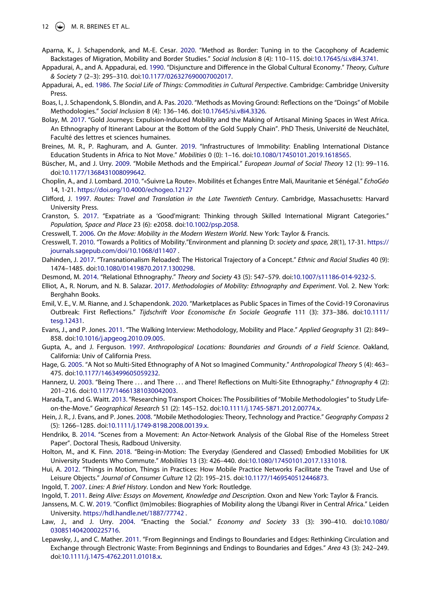- <span id="page-11-13"></span>Aparna, K., J. Schapendonk, and M.-E. Cesar. [2020](#page-1-0). "Method as Border: Tuning in to the Cacophony of Academic Backstages of Migration, Mobility and Border Studies." *Social Inclusion* 8 (4): 110–115. doi:[10.17645/si.v8i4.3741](https://doi.org/10.17645/si.v8i4.3741).
- <span id="page-11-16"></span>Appadurai, A., and A. Appadurai, ed. [1990](#page-2-1). "Disjuncture and Difference in the Global Cultural Economy." *Theory, Culture & Society* 7 (2–3): 295–310. doi:[10.1177/026327690007002017.](https://doi.org/10.1177/026327690007002017)
- <span id="page-11-4"></span>Appadurai, A., ed. [1986.](#page-0-2) *The Social Life of Things: Commodities in Cultural Perspective*. Cambridge: Cambridge University Press.
- <span id="page-11-25"></span>Boas, I., J. Schapendonk, S. Blondin, and A. Pas. [2020](#page-4-1). "Methods as Moving Ground: Reflections on the "Doings" of Mobile Methodologies." *Social Inclusion* 8 (4): 136–146. doi:[10.17645/si.v8i4.3326](https://doi.org/10.17645/si.v8i4.3326).
- <span id="page-11-9"></span>Bolay, M. [2017.](#page-1-1) "Gold Journeys: Expulsion-Induced Mobility and the Making of Artisanal Mining Spaces in West Africa. An Ethnography of Itinerant Labour at the Bottom of the Gold Supply Chain". PhD Thesis, Université de Neuchâtel, Faculté des lettres et sciences humaines.
- <span id="page-11-27"></span>Breines, M. R., P. Raghuram, and A. Gunter. [2019](#page-8-2). "Infrastructures of Immobility: Enabling International Distance Education Students in Africa to Not Move." *Mobilities* 0 (0): 1–16. doi:[10.1080/17450101.2019.1618565](https://doi.org/10.1080/17450101.2019.1618565).
- <span id="page-11-1"></span>Büscher, M., and J. Urry. [2009](#page-0-3). "Mobile Methods and the Empirical." *European Journal of Social Theory* 12 (1): 99–116. doi:[10.1177/1368431008099642](https://doi.org/10.1177/1368431008099642).
- <span id="page-11-10"></span>Choplin, A., and J. Lombard. [2010.](#page-1-2) "«Suivre La Route». Mobilités et Échanges Entre Mali, Mauritanie et Sénégal." *EchoGéo*  14, 1-21. <https://doi.org/10.4000/echogeo.12127>
- <span id="page-11-18"></span>Clifford, J. [1997.](#page-2-2) *Routes: Travel and Translation in the Late Twentieth Century*. Cambridge, Massachusetts: Harvard University Press.
- <span id="page-11-24"></span>Cranston, S. [2017](#page-4-2). "Expatriate as a 'Good'migrant: Thinking through Skilled International Migrant Categories." *Population, Space and Place* 23 (6): e2058. doi:[10.1002/psp.2058](https://doi.org/10.1002/psp.2058).
- <span id="page-11-28"></span>Cresswell, T. [2006](#page-9-0). *On the Move: Mobility in the Modern Western World*. New York: Taylor & Francis.
- <span id="page-11-23"></span>Cresswell, T. [2010](#page-4-3). "Towards a Politics of Mobility."Environment and planning D: *society and space, 28*(1), 17-31. [https://](https://journals.sagepub.com/doi/10.1068/d11407) [journals.sagepub.com/doi/10.1068/d11407](https://journals.sagepub.com/doi/10.1068/d11407) .
- <span id="page-11-0"></span>Dahinden, J. [2017.](#page-0-4) "Transnationalism Reloaded: The Historical Trajectory of a Concept." *Ethnic and Racial Studies* 40 (9): 1474–1485. doi:[10.1080/01419870.2017.1300298](https://doi.org/10.1080/01419870.2017.1300298).
- <span id="page-11-26"></span>Desmond, M. [2014](#page-7-0). "Relational Ethnography." *Theory and Society* 43 (5): 547–579. doi:[10.1007/s11186-014-9232-5](https://doi.org/10.1007/s11186-014-9232-5).
- <span id="page-11-3"></span>Elliot, A., R. Norum, and N. B. Salazar. [2017](#page-0-3). *Methodologies of Mobility: Ethnography and Experiment*. Vol. 2. New York: Berghahn Books.
- <span id="page-11-6"></span>Emil, V. E., V. M. Rianne, and J. Schapendonk. [2020.](#page-1-2) "Marketplaces as Public Spaces in Times of the Covid-19 Coronavirus Outbreak: First Reflections." *Tijdschrift Voor Economische En Sociale Geografie* 111 (3): 373–386. doi:[10.1111/](https://doi.org/10.1111/tesg.12431) [tesg.12431](https://doi.org/10.1111/tesg.12431).
- <span id="page-11-12"></span>Evans, J., and P. Jones. [2011.](#page-1-3) "The Walking Interview: Methodology, Mobility and Place." *Applied Geography* 31 (2): 849– 858. doi:[10.1016/j.apgeog.2010.09.005.](https://doi.org/10.1016/j.apgeog.2010.09.005)
- <span id="page-11-17"></span>Gupta, A., and J. Ferguson. [1997](#page-2-1). *Anthropological Locations: Boundaries and Grounds of a Field Science*. Oakland, California: Univ of California Press.
- <span id="page-11-21"></span>Hage, G. [2005](#page-3-0). "A Not so Multi-Sited Ethnography of A Not so Imagined Community." *Anthropological Theory* 5 (4): 463– 475. doi:[10.1177/1463499605059232](https://doi.org/10.1177/1463499605059232).
- <span id="page-11-22"></span>Hannerz, U. [2003](#page-3-0). "Being There . . . and There . . . and There! Reflections on Multi-Site Ethnography." *Ethnography* 4 (2): 201–216. doi:[10.1177/14661381030042003.](https://doi.org/10.1177/14661381030042003)
- <span id="page-11-7"></span>Harada, T., and G. Waitt. [2013](#page-1-4). "Researching Transport Choices: The Possibilities of "Mobile Methodologies" to Study Lifeon-the-Move." *Geographical Research* 51 (2): 145–152. doi:[10.1111/j.1745-5871.2012.00774.x](https://doi.org/10.1111/j.1745-5871.2012.00774.x).
- <span id="page-11-2"></span>Hein, J. R., J. Evans, and P. Jones. [2008.](#page-0-3) "Mobile Methodologies: Theory, Technology and Practice." *Geography Compass* 2 (5): 1266–1285. doi:[10.1111/j.1749-8198.2008.00139.x](https://doi.org/10.1111/j.1749-8198.2008.00139.x).
- <span id="page-11-19"></span>Hendrikx, B. [2014.](#page-2-3) "Scenes from a Movement: An Actor-Network Analysis of the Global Rise of the Homeless Street Paper". Doctoral Thesis, Radboud University.
- <span id="page-11-8"></span>Holton, M., and K. Finn. [2018](#page-1-5). "Being-in-Motion: The Everyday (Gendered and Classed) Embodied Mobilities for UK University Students Who Commute." *Mobilities* 13 (3): 426–440. doi:[10.1080/17450101.2017.1331018](https://doi.org/10.1080/17450101.2017.1331018).
- <span id="page-11-5"></span>Hui, A. [2012.](#page-0-2) "Things in Motion, Things in Practices: How Mobile Practice Networks Facilitate the Travel and Use of Leisure Objects." *Journal of Consumer Culture* 12 (2): 195–215. doi:[10.1177/1469540512446873](https://doi.org/10.1177/1469540512446873).
- <span id="page-11-14"></span>Ingold, T. [2007.](#page-2-4) *Lines: A Brief History*. London and New York: Routledge.
- <span id="page-11-15"></span>Ingold, T. [2011.](#page-2-4) *Being Alive: Essays on Movement, Knowledge and Description*. Oxon and New York: Taylor & Francis.
- <span id="page-11-11"></span>Janssens, M. C. W. [2019](#page-1-6). "Conflict (Im)mobiles: Biographies of Mobility along the Ubangi River in Central Africa." Leiden University. <https://hdl.handle.net/1887/77742>.
- <span id="page-11-29"></span>Law, J., and J. Urry. [2004](#page-10-3). "Enacting the Social." *Economy and Society* 33 (3): 390–410. doi:[10.1080/](https://doi.org/10.1080/0308514042000225716) [0308514042000225716.](https://doi.org/10.1080/0308514042000225716)
- <span id="page-11-20"></span>Lepawsky, J., and C. Mather. [2011.](#page-2-3) "From Beginnings and Endings to Boundaries and Edges: Rethinking Circulation and Exchange through Electronic Waste: From Beginnings and Endings to Boundaries and Edges." *Area* 43 (3): 242–249. doi:[10.1111/j.1475-4762.2011.01018.x.](https://doi.org/10.1111/j.1475-4762.2011.01018.x)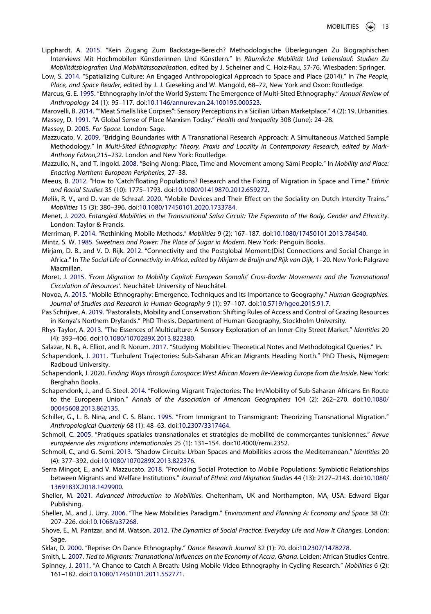- <span id="page-12-20"></span>Lipphardt, A. [2015.](#page-3-1) "Kein Zugang Zum Backstage-Bereich? Methodologische Überlegungen Zu Biographischen Interviews Mit Hochmobilen Künstlerinnen Und Künstlern." In *Räumliche Mobilität Und Lebenslauf: Studien Zu Mobilitätsbiografien Und Mobilitätssozialisation*, edited by J. Scheiner and C. Holz-Rau, 57-76. Wiesbaden: Springer.
- <span id="page-12-23"></span>Low, S. [2014.](#page-3-2) "Spatializing Culture: An Engaged Anthropological Approach to Space and Place (2014)." In *The People, Place, and Space Reader*, edited by J. J. Gieseking and W. Mangold, 68–72, New York and Oxon: Routledge.
- <span id="page-12-4"></span>Marcus, G. E. [1995.](#page-0-5) "Ethnography In/of the World System: The Emergence of Multi-Sited Ethnography." *Annual Review of Anthropology* 24 (1): 95–117. doi:[10.1146/annurev.an.24.100195.000523.](https://doi.org/10.1146/annurev.an.24.100195.000523)
- <span id="page-12-27"></span>Marovelli, B. [2014](#page-7-1). ""Meat Smells like Corpses": Sensory Perceptions in a Sicilian Urban Marketplace." 4 (2): 19. Urbanities.
- <span id="page-12-11"></span>Massey, D. [1991.](#page-2-5) "A Global Sense of Place Marxism Today." *Health and Inequality* 308 (June): 24–28.

<span id="page-12-12"></span>Massey, D. [2005.](#page-2-4) *For Space*. London: Sage.

- <span id="page-12-22"></span>Mazzucato, V. [2009](#page-3-3). "Bridging Boundaries with A Transnational Research Approach: A Simultaneous Matched Sample Methodology." In *Multi-Sited Ethnography: Theory, Praxis and Locality in Contemporary Research*, *edited by Mark-Anthony Falzon,*215–232. London and New York: Routledge.
- <span id="page-12-10"></span>Mazzullo, N., and T. Ingold. [2008](#page-2-6). "Being Along: Place, Time and Movement among Sámi People." In *Mobility and Place: Enacting Northern European Peripheries*, 27–38.
- <span id="page-12-30"></span>Meeus, B. [2012.](#page-9-1) "How to 'Catch'floating Populations? Research and the Fixing of Migration in Space and Time." *Ethnic and Racial Studies* 35 (10): 1775–1793. doi:[10.1080/01419870.2012.659272](https://doi.org/10.1080/01419870.2012.659272).
- <span id="page-12-29"></span>Melik, R. V., and D. van de Schraaf. [2020](#page-9-1). "Mobile Devices and Their Effect on the Sociality on Dutch Intercity Trains." *Mobilities* 15 (3): 380–396. doi:[10.1080/17450101.2020.1733784.](https://doi.org/10.1080/17450101.2020.1733784)
- <span id="page-12-8"></span>Menet, J. [2020](#page-1-1). *Entangled Mobilities in the Transnational Salsa Circuit: The Esperanto of the Body, Gender and Ethnicity*. London: Taylor & Francis.
- <span id="page-12-9"></span>Merriman, P. [2014.](#page-1-7) "Rethinking Mobile Methods." *Mobilities* 9 (2): 167–187. doi:[10.1080/17450101.2013.784540](https://doi.org/10.1080/17450101.2013.784540).
- <span id="page-12-3"></span>Mintz, S. W. [1985.](#page-0-6) *Sweetness and Power: The Place of Sugar in Modern*. New York: Penguin Books.
- <span id="page-12-26"></span>Mirjam, D. B., and V. D. Rijk. [2012.](#page-7-2) "Connectivity and the Postglobal Moment:(Dis) Connections and Social Change in Africa." In *The Social Life of Connectivity in Africa*, *edited by Mirjam de Bruijn and Rijk van Dijk,* 1–20. New York: Palgrave Macmillan.
- <span id="page-12-21"></span>Moret, J. [2015.](#page-3-4) *'From Migration to Mobility Capital: European Somalis' Cross-Border Movements and the Transnational Circulation of Resources'*. Neuchâtel: University of Neuchâtel.
- <span id="page-12-18"></span>Novoa, A. [2015](#page-3-5). "Mobile Ethnography: Emergence, Techniques and Its Importance to Geography." *Human Geographies. Journal of Studies and Research in Human Geography* 9 (1): 97–107. doi:[10.5719/hgeo.2015.91.7.](https://doi.org/10.5719/hgeo.2015.91.7)
- <span id="page-12-7"></span>Pas Schrijver, A. [2019.](#page-1-8) "Pastoralists, Mobility and Conservation: Shifting Rules of Access and Control of Grazing Resources in Kenya's Northern Drylands." PhD Thesis, Department of Human Geography, Stockholm University.
- <span id="page-12-28"></span>Rhys-Taylor, A. [2013.](#page-7-1) "The Essences of Multiculture: A Sensory Exploration of an Inner-City Street Market." *Identities* 20 (4): 393–406. doi:[10.1080/1070289X.2013.822380](https://doi.org/10.1080/1070289X.2013.822380).
- <span id="page-12-2"></span>Salazar, N. B., A. Elliot, and R. Norum. [2017.](#page-0-2) "Studying Mobilities: Theoretical Notes and Methodological Queries." In.
- <span id="page-12-19"></span>Schapendonk, J. [2011](#page-3-6). "Turbulent Trajectories: Sub-Saharan African Migrants Heading North." PhD Thesis, Nijmegen: Radboud University.
- Schapendonk, J. 2020. *Finding Ways through Eurospace: West African Movers Re-Viewing Europe from the Inside*. New York: Berghahn Books.
- <span id="page-12-16"></span>Schapendonk, J., and G. Steel. [2014.](#page-2-7) "Following Migrant Trajectories: The Im/Mobility of Sub-Saharan Africans En Route to the European Union." *Annals of the Association of American Geographers* 104 (2): 262–270. doi:[10.1080/](https://doi.org/10.1080/00045608.2013.862135) [00045608.2013.862135](https://doi.org/10.1080/00045608.2013.862135).
- <span id="page-12-13"></span>Schiller, G., L. B. Nina, and C. S. Blanc. [1995.](#page-2-8) "From Immigrant to Transmigrant: Theorizing Transnational Migration." *Anthropological Quarterly* 68 (1): 48–63. doi:[10.2307/3317464](https://doi.org/10.2307/3317464).
- <span id="page-12-6"></span>Schmoll, C. [2005](#page-1-8). "Pratiques spatiales transnationales et stratégies de mobilité de commerçantes tunisiennes." *Revue européenne des migrations internationales 25* (1): 131–154. doi:10.4000/remi.2352.
- <span id="page-12-17"></span>Schmoll, C., and G. Semi. [2013.](#page-3-7) "Shadow Circuits: Urban Spaces and Mobilities across the Mediterranean." *Identities* 20 (4): 377–392. doi:[10.1080/1070289X.2013.822376](https://doi.org/10.1080/1070289X.2013.822376).
- <span id="page-12-15"></span>Serra Mingot, E., and V. Mazzucato. [2018](#page-2-9). "Providing Social Protection to Mobile Populations: Symbiotic Relationships between Migrants and Welfare Institutions." *Journal of Ethnic and Migration Studies* 44 (13): 2127–2143. doi:[10.1080/](https://doi.org/10.1080/1369183X.2018.1429900) [1369183X.2018.1429900.](https://doi.org/10.1080/1369183X.2018.1429900)
- <span id="page-12-0"></span>Sheller, M. [2021](#page-0-7). *Advanced Introduction to Mobilities*. Cheltenham, UK and Northampton, MA, USA: Edward Elgar Publishing.
- <span id="page-12-1"></span>Sheller, M., and J. Urry. [2006.](#page-0-8) "The New Mobilities Paradigm." *Environment and Planning A: Economy and Space* 38 (2): 207–226. doi:[10.1068/a37268](https://doi.org/10.1068/a37268).
- <span id="page-12-24"></span>Shove, E., M. Pantzar, and M. Watson. [2012.](#page-4-4) *The Dynamics of Social Practice: Everyday Life and How It Changes*. London: Sage.
- <span id="page-12-25"></span>Sklar, D. [2000.](#page-6-0) "Reprise: On Dance Ethnography." *Dance Research Journal* 32 (1): 70. doi:[10.2307/1478278](https://doi.org/10.2307/1478278).
- <span id="page-12-14"></span><span id="page-12-5"></span>Smith, L. [2007.](#page-2-9) *Tied to Migrants: Transnational Influences on the Economy of Accra, Ghana*. Leiden: African Studies Centre. Spinney, J. [2011](#page-1-6). "A Chance to Catch A Breath: Using Mobile Video Ethnography in Cycling Research." *Mobilities* 6 (2):
	- 161–182. doi:[10.1080/17450101.2011.552771](https://doi.org/10.1080/17450101.2011.552771).